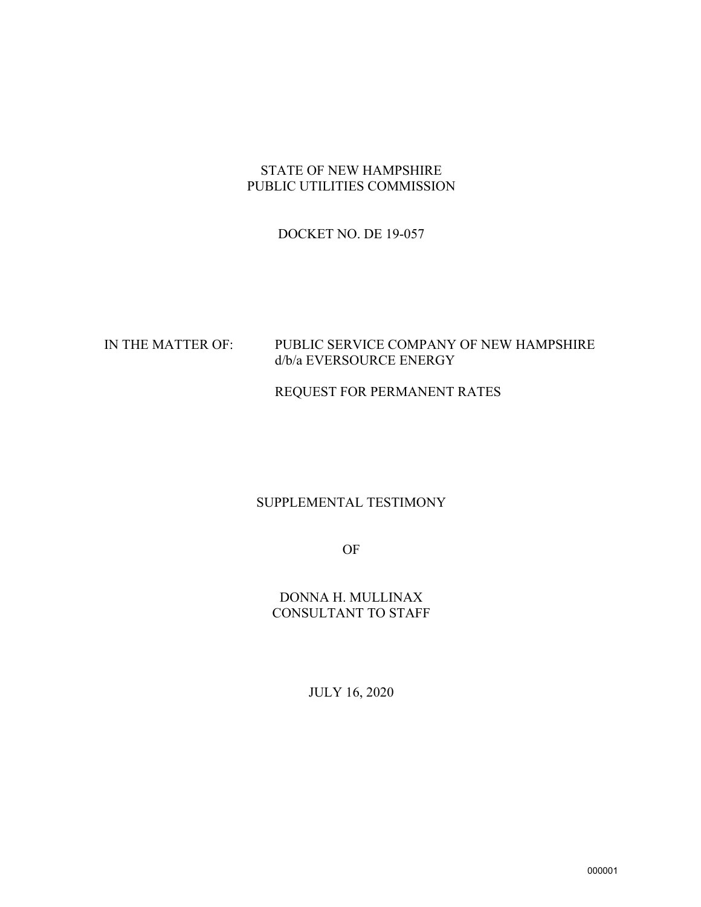# STATE OF NEW HAMPSHIRE PUBLIC UTILITIES COMMISSION

# DOCKET NO. DE 19-057

# IN THE MATTER OF: PUBLIC SERVICE COMPANY OF NEW HAMPSHIRE d/b/a EVERSOURCE ENERGY

# REQUEST FOR PERMANENT RATES

# SUPPLEMENTAL TESTIMONY

OF

DONNA H. MULLINAX CONSULTANT TO STAFF

JULY 16, 2020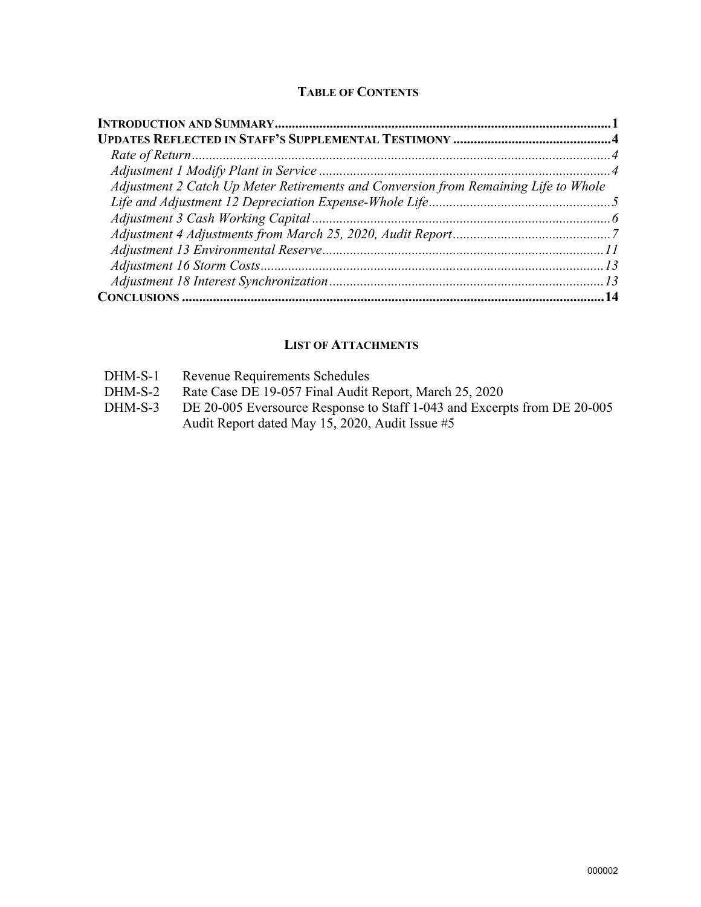#### **TABLE OF CONTENTS**

| Adjustment 2 Catch Up Meter Retirements and Conversion from Remaining Life to Whole |  |
|-------------------------------------------------------------------------------------|--|
|                                                                                     |  |
|                                                                                     |  |
|                                                                                     |  |
|                                                                                     |  |
|                                                                                     |  |
|                                                                                     |  |
|                                                                                     |  |

#### **LIST OF ATTACHMENTS**

|  | $DHM-S-1$ | Revenue Requirements Schedules |
|--|-----------|--------------------------------|
|--|-----------|--------------------------------|

- DHM-S-2 Rate Case DE 19-057 Final Audit Report, March 25, 2020
- DHM-S-3 DE 20-005 Eversource Response to Staff 1-043 and Excerpts from DE 20-005 Audit Report dated May 15, 2020, Audit Issue #5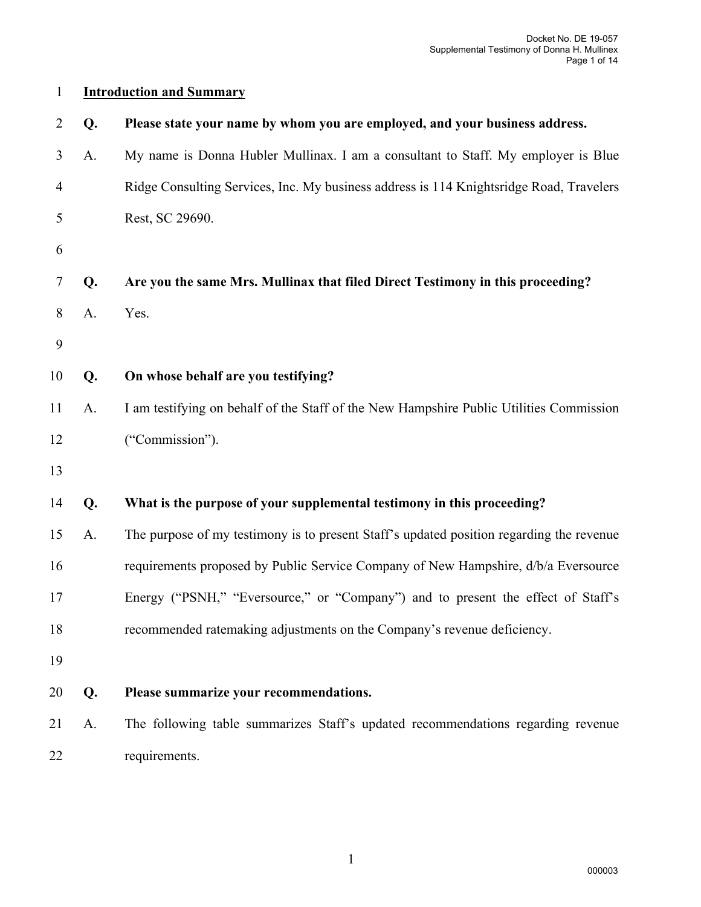# **Introduction and Summary**

| 2  | Q. | Please state your name by whom you are employed, and your business address.              |
|----|----|------------------------------------------------------------------------------------------|
| 3  | A. | My name is Donna Hubler Mullinax. I am a consultant to Staff. My employer is Blue        |
| 4  |    | Ridge Consulting Services, Inc. My business address is 114 Knightsridge Road, Travelers  |
| 5  |    | Rest, SC 29690.                                                                          |
| 6  |    |                                                                                          |
| 7  | Q. | Are you the same Mrs. Mullinax that filed Direct Testimony in this proceeding?           |
| 8  | A. | Yes.                                                                                     |
| 9  |    |                                                                                          |
| 10 | Q. | On whose behalf are you testifying?                                                      |
| 11 | A. | I am testifying on behalf of the Staff of the New Hampshire Public Utilities Commission  |
| 12 |    | ("Commission").                                                                          |
| 13 |    |                                                                                          |
| 14 | Q. | What is the purpose of your supplemental testimony in this proceeding?                   |
| 15 | A. | The purpose of my testimony is to present Staff's updated position regarding the revenue |
| 16 |    | requirements proposed by Public Service Company of New Hampshire, d/b/a Eversource       |
| 17 |    | Energy ("PSNH," "Eversource," or "Company") and to present the effect of Staff's         |
| 18 |    | recommended ratemaking adjustments on the Company's revenue deficiency.                  |
| 19 |    |                                                                                          |
| 20 | Q. | Please summarize your recommendations.                                                   |
| 21 | A. | The following table summarizes Staff's updated recommendations regarding revenue         |
| 22 |    | requirements.                                                                            |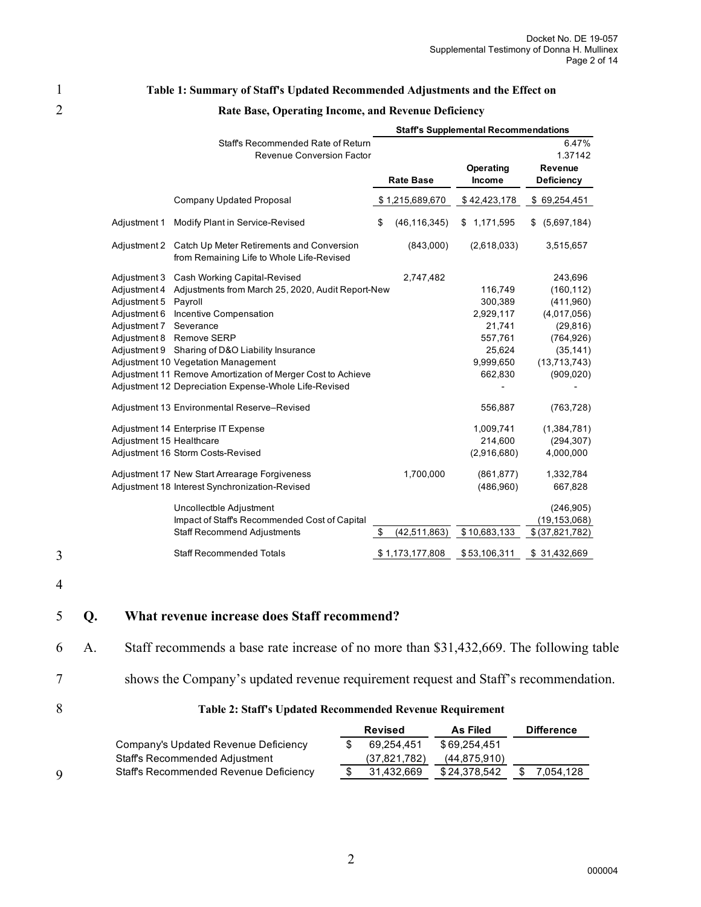#### 1 **Table 1: Summary of Staff's Updated Recommended Adjustments and the Effect on**

|                          |                                                                                        | <b>Staff's Supplemental Recommendations</b> |                  |              |                  |  |  |  |
|--------------------------|----------------------------------------------------------------------------------------|---------------------------------------------|------------------|--------------|------------------|--|--|--|
|                          | Staff's Recommended Rate of Return                                                     |                                             |                  |              | 6.47%            |  |  |  |
|                          | <b>Revenue Conversion Factor</b>                                                       |                                             |                  |              | 1.37142          |  |  |  |
|                          |                                                                                        |                                             | <b>Rate Base</b> | Operating    | <b>Revenue</b>   |  |  |  |
|                          |                                                                                        |                                             |                  | Income       | Deficiency       |  |  |  |
|                          | <b>Company Updated Proposal</b>                                                        |                                             | \$1,215,689,670  | \$42,423,178 | \$69,254,451     |  |  |  |
| Adjustment 1             | Modify Plant in Service-Revised                                                        | \$                                          | (46, 116, 345)   | \$1,171,595  | (5,697,184)<br>S |  |  |  |
| Adjustment 2             | Catch Up Meter Retirements and Conversion<br>from Remaining Life to Whole Life-Revised |                                             | (843,000)        | (2,618,033)  | 3,515,657        |  |  |  |
| Adjustment 3             | Cash Working Capital-Revised                                                           |                                             | 2,747,482        |              | 243,696          |  |  |  |
| Adjustment 4             | Adjustments from March 25, 2020, Audit Report-New                                      |                                             |                  | 116,749      | (160, 112)       |  |  |  |
| Adjustment 5             | Payroll                                                                                |                                             |                  | 300,389      | (411,960)        |  |  |  |
| Adjustment 6             | Incentive Compensation                                                                 |                                             |                  | 2,929,117    | (4,017,056)      |  |  |  |
| Adjustment 7             | Severance                                                                              |                                             |                  | 21,741       | (29, 816)        |  |  |  |
| Adjustment 8             | Remove SERP                                                                            |                                             |                  | 557,761      | (764, 926)       |  |  |  |
| Adjustment 9             | Sharing of D&O Liability Insurance                                                     |                                             |                  | 25,624       | (35, 141)        |  |  |  |
|                          | Adjustment 10 Vegetation Management                                                    |                                             |                  | 9,999,650    | (13,713,743)     |  |  |  |
|                          | Adjustment 11 Remove Amortization of Merger Cost to Achieve                            |                                             |                  | 662,830      | (909, 020)       |  |  |  |
|                          | Adjustment 12 Depreciation Expense-Whole Life-Revised                                  |                                             |                  |              |                  |  |  |  |
|                          | Adjustment 13 Environmental Reserve-Revised                                            |                                             |                  | 556,887      | (763, 728)       |  |  |  |
|                          | Adjustment 14 Enterprise IT Expense                                                    |                                             |                  | 1,009,741    | (1,384,781)      |  |  |  |
| Adjustment 15 Healthcare |                                                                                        |                                             |                  | 214,600      | (294, 307)       |  |  |  |
|                          | Adjustment 16 Storm Costs-Revised                                                      |                                             |                  | (2,916,680)  | 4,000,000        |  |  |  |
|                          | Adjustment 17 New Start Arrearage Forgiveness                                          |                                             | 1,700,000        | (861, 877)   | 1,332,784        |  |  |  |
|                          | Adjustment 18 Interest Synchronization-Revised                                         |                                             |                  | (486,960)    | 667,828          |  |  |  |
|                          | Uncollectble Adjustment                                                                |                                             |                  |              | (246, 905)       |  |  |  |
|                          | Impact of Staff's Recommended Cost of Capital                                          |                                             |                  |              | (19, 153, 068)   |  |  |  |
|                          | <b>Staff Recommend Adjustments</b>                                                     | \$                                          | (42, 511, 863)   | \$10,683,133 | \$ (37,821,782)  |  |  |  |
|                          | <b>Staff Recommended Totals</b>                                                        |                                             | \$1,173,177,808  | \$53,106,311 | \$31,432,669     |  |  |  |

# 2 **Rate Base, Operating Income, and Revenue Deficiency**

4

3

# 5 **Q. What revenue increase does Staff recommend?**

6 A. Staff recommends a base rate increase of no more than \$31,432,669. The following table

#### 7 shows the Company's updated revenue requirement request and Staff's recommendation.

#### 8 **Table 2: Staff's Updated Recommended Revenue Requirement**

|   |                                        | <b>Revised</b> | As Filed       | <b>Difference</b> |
|---|----------------------------------------|----------------|----------------|-------------------|
|   | Company's Updated Revenue Deficiency   | 69.254.451     | \$69.254.451   |                   |
|   | Staff's Recommended Adjustment         | (37,821,782)   | (44, 875, 910) |                   |
| 9 | Staff's Recommended Revenue Deficiency | 31.432.669     | \$24,378,542   | 054.128.          |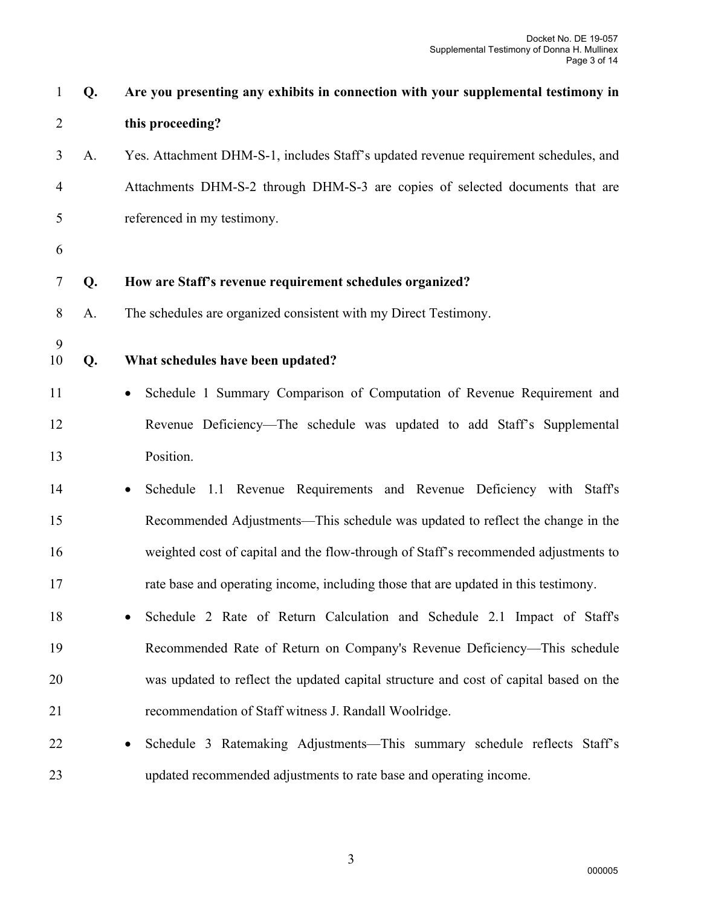| $\mathbf{1}$   | Q. | Are you presenting any exhibits in connection with your supplemental testimony in     |
|----------------|----|---------------------------------------------------------------------------------------|
| $\overline{2}$ |    | this proceeding?                                                                      |
| 3              | A. | Yes. Attachment DHM-S-1, includes Staff's updated revenue requirement schedules, and  |
| 4              |    | Attachments DHM-S-2 through DHM-S-3 are copies of selected documents that are         |
| 5              |    | referenced in my testimony.                                                           |
| 6              |    |                                                                                       |
| 7              | Q. | How are Staff's revenue requirement schedules organized?                              |
| 8              | A. | The schedules are organized consistent with my Direct Testimony.                      |
| 9<br>10        | Q. | What schedules have been updated?                                                     |
|                |    |                                                                                       |
| 11             |    | Schedule 1 Summary Comparison of Computation of Revenue Requirement and               |
| 12             |    | Revenue Deficiency—The schedule was updated to add Staff's Supplemental               |
| 13             |    | Position.                                                                             |
| 14             |    | Schedule 1.1 Revenue Requirements and Revenue Deficiency with Staff's<br>٠            |
| 15             |    | Recommended Adjustments—This schedule was updated to reflect the change in the        |
| 16             |    | weighted cost of capital and the flow-through of Staff's recommended adjustments to   |
| 17             |    | rate base and operating income, including those that are updated in this testimony.   |
| 18             |    | Schedule 2 Rate of Return Calculation and Schedule 2.1 Impact of Staff's              |
| 19             |    | Recommended Rate of Return on Company's Revenue Deficiency—This schedule              |
| 20             |    | was updated to reflect the updated capital structure and cost of capital based on the |
| 21             |    | recommendation of Staff witness J. Randall Woolridge.                                 |
| 22             |    | Schedule 3 Ratemaking Adjustments—This summary schedule reflects Staff's              |
| 23             |    | updated recommended adjustments to rate base and operating income.                    |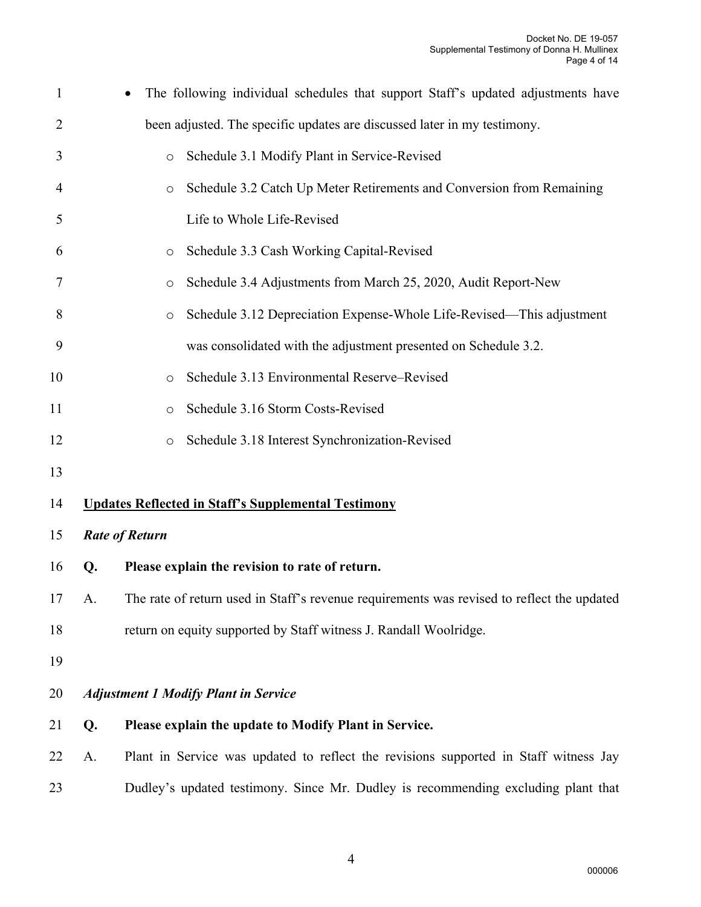| $\mathbf{1}$   |    | The following individual schedules that support Staff's updated adjustments have           |
|----------------|----|--------------------------------------------------------------------------------------------|
| $\overline{2}$ |    | been adjusted. The specific updates are discussed later in my testimony.                   |
| 3              |    | Schedule 3.1 Modify Plant in Service-Revised<br>$\circ$                                    |
| $\overline{4}$ |    | Schedule 3.2 Catch Up Meter Retirements and Conversion from Remaining<br>$\circ$           |
| 5              |    | Life to Whole Life-Revised                                                                 |
| 6              |    | Schedule 3.3 Cash Working Capital-Revised<br>O                                             |
| 7              |    | Schedule 3.4 Adjustments from March 25, 2020, Audit Report-New<br>$\circ$                  |
| 8              |    | Schedule 3.12 Depreciation Expense-Whole Life-Revised—This adjustment<br>$\circ$           |
| 9              |    | was consolidated with the adjustment presented on Schedule 3.2.                            |
| 10             |    | Schedule 3.13 Environmental Reserve-Revised<br>$\circ$                                     |
| 11             |    | Schedule 3.16 Storm Costs-Revised<br>$\circ$                                               |
| 12             |    | Schedule 3.18 Interest Synchronization-Revised<br>$\circ$                                  |
| 13             |    |                                                                                            |
| 14             |    | <b>Updates Reflected in Staff's Supplemental Testimony</b>                                 |
| 15             |    | <b>Rate of Return</b>                                                                      |
| 16             | Q. | Please explain the revision to rate of return.                                             |
| 17             | A. | The rate of return used in Staff's revenue requirements was revised to reflect the updated |
| 18             |    | return on equity supported by Staff witness J. Randall Woolridge.                          |
| 19             |    |                                                                                            |
| 20             |    | <b>Adjustment 1 Modify Plant in Service</b>                                                |
| 21             | Q. | Please explain the update to Modify Plant in Service.                                      |
| 22             | A. | Plant in Service was updated to reflect the revisions supported in Staff witness Jay       |
| 23             |    | Dudley's updated testimony. Since Mr. Dudley is recommending excluding plant that          |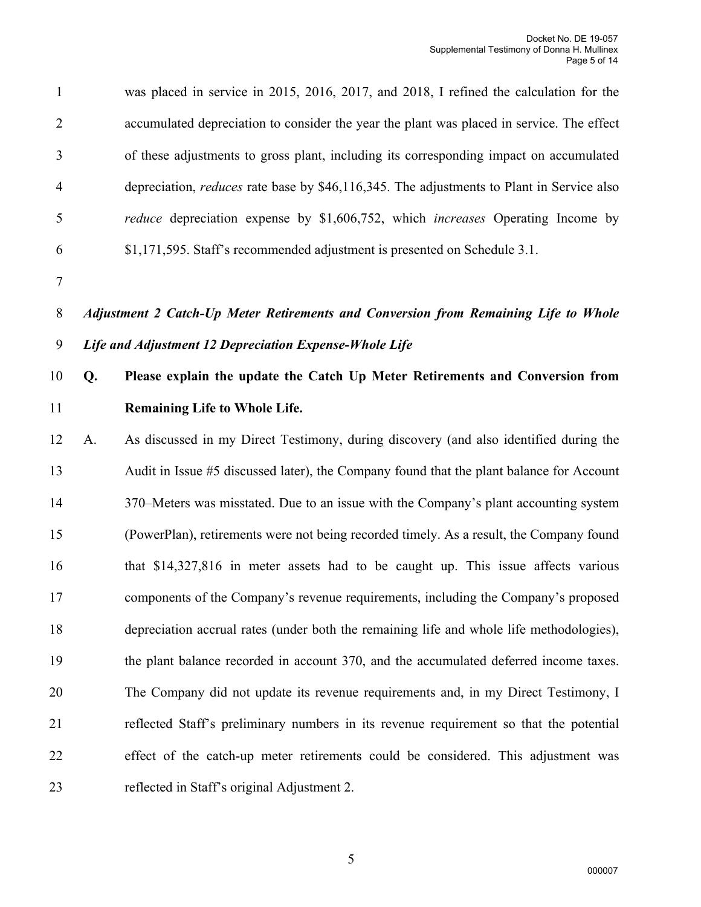| $\mathbf{1}$   |    | was placed in service in 2015, 2016, 2017, and 2018, I refined the calculation for the           |
|----------------|----|--------------------------------------------------------------------------------------------------|
| $\overline{2}$ |    | accumulated depreciation to consider the year the plant was placed in service. The effect        |
| 3              |    | of these adjustments to gross plant, including its corresponding impact on accumulated           |
| $\overline{4}$ |    | depreciation, <i>reduces</i> rate base by \$46,116,345. The adjustments to Plant in Service also |
| 5              |    | <i>reduce</i> depreciation expense by \$1,606,752, which <i>increases</i> Operating Income by    |
| 6              |    | \$1,171,595. Staff's recommended adjustment is presented on Schedule 3.1.                        |
| $\tau$         |    |                                                                                                  |
| 8              |    | Adjustment 2 Catch-Up Meter Retirements and Conversion from Remaining Life to Whole              |
| 9              |    | Life and Adjustment 12 Depreciation Expense-Whole Life                                           |
| 10             | Q. | Please explain the update the Catch Up Meter Retirements and Conversion from                     |
| 11             |    | <b>Remaining Life to Whole Life.</b>                                                             |
| 12             | A. | As discussed in my Direct Testimony, during discovery (and also identified during the            |
| 13             |    | Audit in Issue #5 discussed later), the Company found that the plant balance for Account         |
| 14             |    | 370–Meters was misstated. Due to an issue with the Company's plant accounting system             |
| 15             |    | (PowerPlan), retirements were not being recorded timely. As a result, the Company found          |
| 16             |    | that \$14,327,816 in meter assets had to be caught up. This issue affects various                |
| 17             |    | components of the Company's revenue requirements, including the Company's proposed               |
| 18             |    | depreciation accrual rates (under both the remaining life and whole life methodologies),         |
| 19             |    | the plant balance recorded in account 370, and the accumulated deferred income taxes.            |
| 20             |    | The Company did not update its revenue requirements and, in my Direct Testimony, I               |
| 21             |    | reflected Staff's preliminary numbers in its revenue requirement so that the potential           |
| 22             |    | effect of the catch-up meter retirements could be considered. This adjustment was                |
| 23             |    | reflected in Staff's original Adjustment 2.                                                      |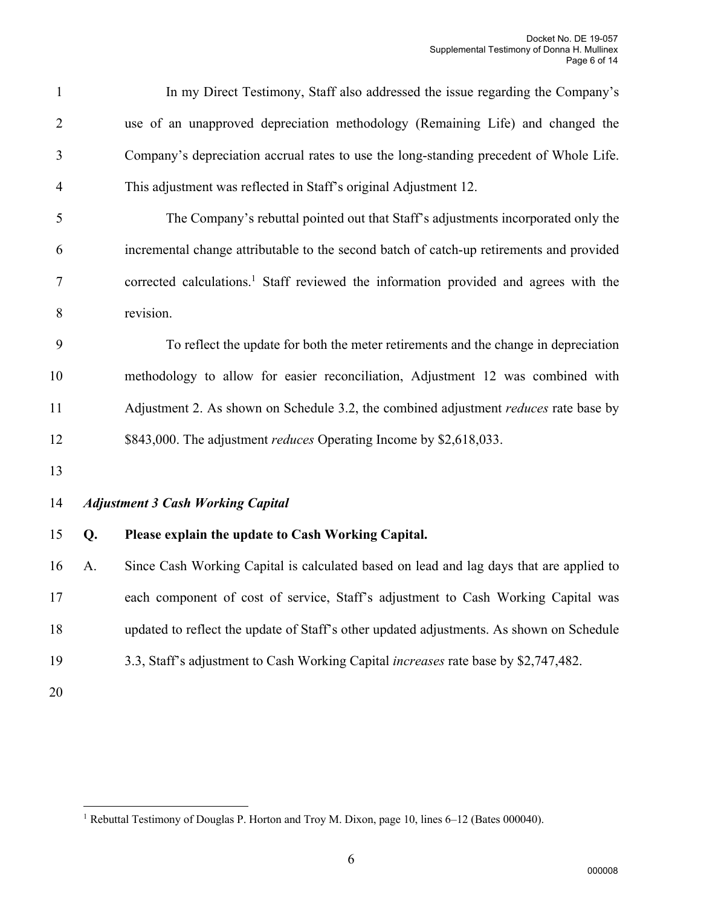| $\mathbf{1}$   |    | In my Direct Testimony, Staff also addressed the issue regarding the Company's                   |
|----------------|----|--------------------------------------------------------------------------------------------------|
| 2              |    | use of an unapproved depreciation methodology (Remaining Life) and changed the                   |
| 3              |    | Company's depreciation accrual rates to use the long-standing precedent of Whole Life.           |
| $\overline{4}$ |    | This adjustment was reflected in Staff's original Adjustment 12.                                 |
| 5              |    | The Company's rebuttal pointed out that Staff's adjustments incorporated only the                |
| 6              |    | incremental change attributable to the second batch of catch-up retirements and provided         |
| 7              |    | corrected calculations. <sup>1</sup> Staff reviewed the information provided and agrees with the |
| 8              |    | revision.                                                                                        |
| 9              |    | To reflect the update for both the meter retirements and the change in depreciation              |
| 10             |    | methodology to allow for easier reconciliation, Adjustment 12 was combined with                  |
| 11             |    | Adjustment 2. As shown on Schedule 3.2, the combined adjustment reduces rate base by             |
| 12             |    | \$843,000. The adjustment <i>reduces</i> Operating Income by \$2,618,033.                        |
| 13             |    |                                                                                                  |
| 14             |    | <b>Adjustment 3 Cash Working Capital</b>                                                         |
| 15             | Q. | Please explain the update to Cash Working Capital.                                               |
| 16             | A. | Since Cash Working Capital is calculated based on lead and lag days that are applied to          |
| 17             |    | each component of cost of service, Staff's adjustment to Cash Working Capital was                |
| 18             |    | updated to reflect the update of Staff's other updated adjustments. As shown on Schedule         |
| 19             |    | 3.3, Staff's adjustment to Cash Working Capital increases rate base by \$2,747,482.              |
| 20             |    |                                                                                                  |

<sup>&</sup>lt;sup>1</sup> Rebuttal Testimony of Douglas P. Horton and Troy M. Dixon, page 10, lines 6–12 (Bates 000040).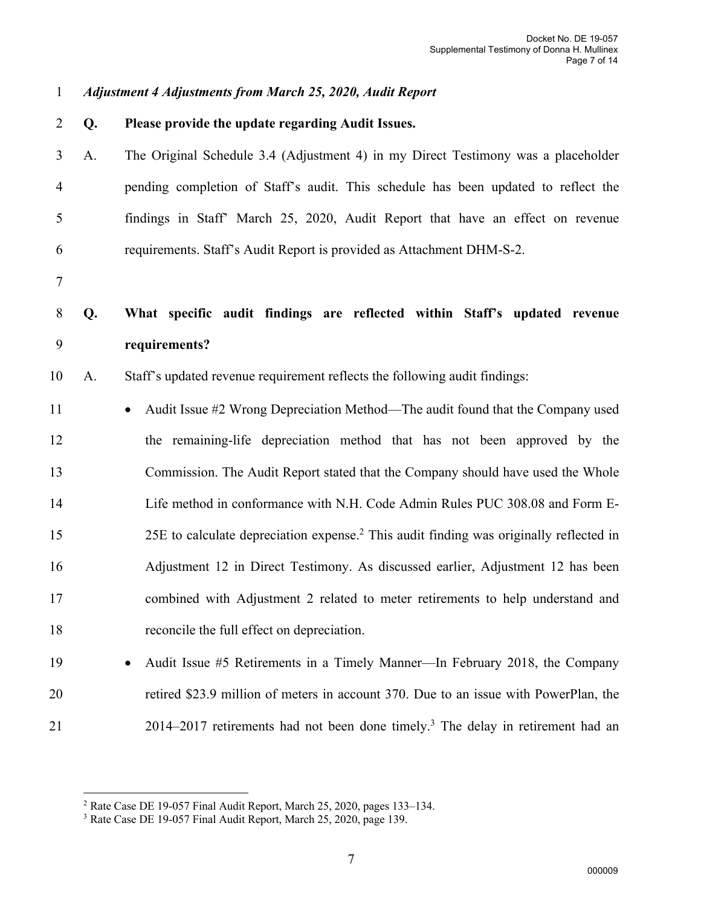*Adjustment 4 Adjustments from March 25, 2020, Audit Report* 

- **Q. Please provide the update regarding Audit Issues.**  A. The Original Schedule 3.4 (Adjustment 4) in my Direct Testimony was a placeholder pending completion of Staff's audit. This schedule has been updated to reflect the findings in Staff' March 25, 2020, Audit Report that have an effect on revenue requirements. Staff's Audit Report is provided as Attachment DHM-S-2. **Q. What specific audit findings are reflected within Staff's updated revenue requirements?**  A. Staff's updated revenue requirement reflects the following audit findings: 11 • Audit Issue #2 Wrong Depreciation Method—The audit found that the Company used the remaining-life depreciation method that has not been approved by the Commission. The Audit Report stated that the Company should have used the Whole Life method in conformance with N.H. Code Admin Rules PUC 308.08 and Form E-25E to calculate depreciation expense.<sup>2</sup> This audit finding was originally reflected in Adjustment 12 in Direct Testimony. As discussed earlier, Adjustment 12 has been combined with Adjustment 2 related to meter retirements to help understand and reconcile the full effect on depreciation.
- Audit Issue #5 Retirements in a Timely Manner—In February 2018, the Company retired \$23.9 million of meters in account 370. Due to an issue with PowerPlan, the 2014–2017 retirements had not been done timely.<sup>3</sup> The delay in retirement had an

Rate Case DE 19-057 Final Audit Report, March 25, 2020, pages 133–134.

<sup>&</sup>lt;sup>3</sup> Rate Case DE 19-057 Final Audit Report, March 25, 2020, page 139.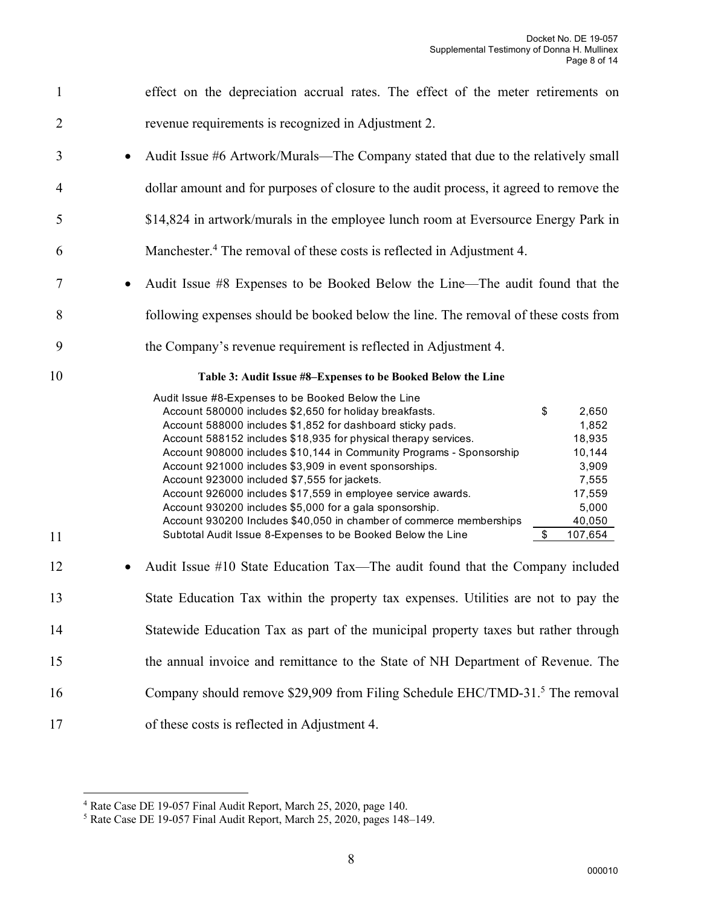| $\mathbf{1}$   | effect on the depreciation accrual rates. The effect of the meter retirements on                                                                                                                                                                                                                                                                                                                                                                                                                                                                                                                                                                                                                                                                                                                               |
|----------------|----------------------------------------------------------------------------------------------------------------------------------------------------------------------------------------------------------------------------------------------------------------------------------------------------------------------------------------------------------------------------------------------------------------------------------------------------------------------------------------------------------------------------------------------------------------------------------------------------------------------------------------------------------------------------------------------------------------------------------------------------------------------------------------------------------------|
| $\overline{2}$ | revenue requirements is recognized in Adjustment 2.                                                                                                                                                                                                                                                                                                                                                                                                                                                                                                                                                                                                                                                                                                                                                            |
| 3              | Audit Issue #6 Artwork/Murals—The Company stated that due to the relatively small                                                                                                                                                                                                                                                                                                                                                                                                                                                                                                                                                                                                                                                                                                                              |
| $\overline{4}$ | dollar amount and for purposes of closure to the audit process, it agreed to remove the                                                                                                                                                                                                                                                                                                                                                                                                                                                                                                                                                                                                                                                                                                                        |
| 5              | \$14,824 in artwork/murals in the employee lunch room at Eversource Energy Park in                                                                                                                                                                                                                                                                                                                                                                                                                                                                                                                                                                                                                                                                                                                             |
| 6              | Manchester. <sup>4</sup> The removal of these costs is reflected in Adjustment 4.                                                                                                                                                                                                                                                                                                                                                                                                                                                                                                                                                                                                                                                                                                                              |
| 7              | Audit Issue #8 Expenses to be Booked Below the Line—The audit found that the                                                                                                                                                                                                                                                                                                                                                                                                                                                                                                                                                                                                                                                                                                                                   |
| 8              | following expenses should be booked below the line. The removal of these costs from                                                                                                                                                                                                                                                                                                                                                                                                                                                                                                                                                                                                                                                                                                                            |
| 9              | the Company's revenue requirement is reflected in Adjustment 4.                                                                                                                                                                                                                                                                                                                                                                                                                                                                                                                                                                                                                                                                                                                                                |
| 10             | Table 3: Audit Issue #8–Expenses to be Booked Below the Line                                                                                                                                                                                                                                                                                                                                                                                                                                                                                                                                                                                                                                                                                                                                                   |
| 11             | Audit Issue #8-Expenses to be Booked Below the Line<br>Account 580000 includes \$2,650 for holiday breakfasts.<br>\$<br>2,650<br>Account 588000 includes \$1,852 for dashboard sticky pads.<br>1,852<br>Account 588152 includes \$18,935 for physical therapy services.<br>18,935<br>Account 908000 includes \$10,144 in Community Programs - Sponsorship<br>10,144<br>Account 921000 includes \$3,909 in event sponsorships.<br>3,909<br>7,555<br>Account 923000 included \$7,555 for jackets.<br>Account 926000 includes \$17,559 in employee service awards.<br>17,559<br>Account 930200 includes \$5,000 for a gala sponsorship.<br>5,000<br>Account 930200 Includes \$40,050 in chamber of commerce memberships<br>40,050<br>Subtotal Audit Issue 8-Expenses to be Booked Below the Line<br>\$<br>107,654 |
| 12             | Audit Issue #10 State Education Tax—The audit found that the Company included                                                                                                                                                                                                                                                                                                                                                                                                                                                                                                                                                                                                                                                                                                                                  |
| 13             | State Education Tax within the property tax expenses. Utilities are not to pay the                                                                                                                                                                                                                                                                                                                                                                                                                                                                                                                                                                                                                                                                                                                             |
| 14             | Statewide Education Tax as part of the municipal property taxes but rather through                                                                                                                                                                                                                                                                                                                                                                                                                                                                                                                                                                                                                                                                                                                             |
| 15             | the annual invoice and remittance to the State of NH Department of Revenue. The                                                                                                                                                                                                                                                                                                                                                                                                                                                                                                                                                                                                                                                                                                                                |
| 16             | Company should remove \$29,909 from Filing Schedule EHC/TMD-31. <sup>5</sup> The removal                                                                                                                                                                                                                                                                                                                                                                                                                                                                                                                                                                                                                                                                                                                       |
| 17             | of these costs is reflected in Adjustment 4.                                                                                                                                                                                                                                                                                                                                                                                                                                                                                                                                                                                                                                                                                                                                                                   |

8

<sup>&</sup>lt;sup>4</sup> Rate Case DE 19-057 Final Audit Report, March 25, 2020, page 140.

<sup>&</sup>lt;sup>5</sup> Rate Case DE 19-057 Final Audit Report, March 25, 2020, pages 148-149.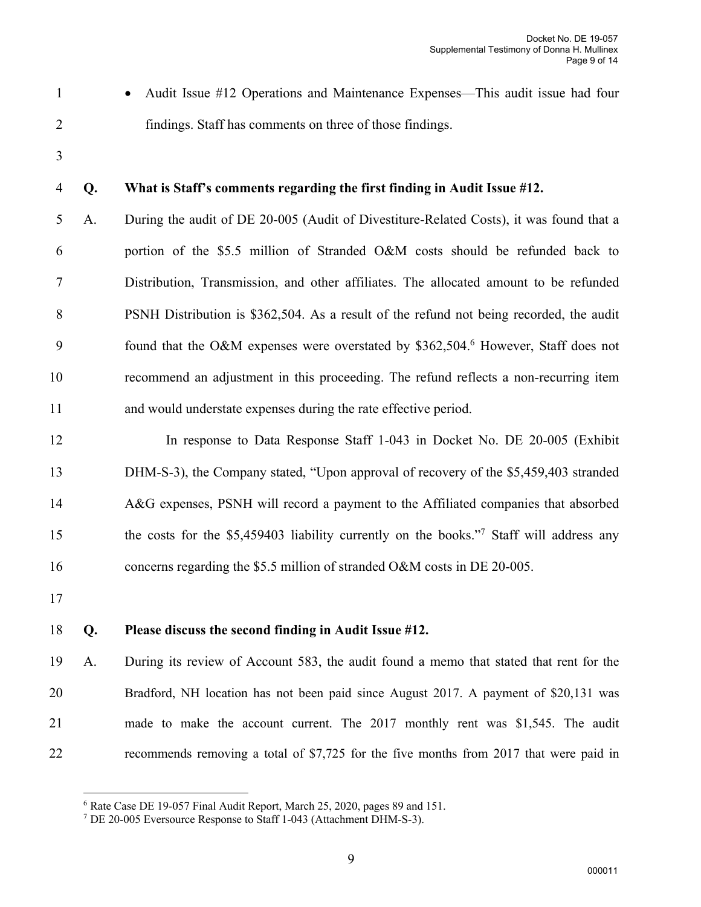• Audit Issue #12 Operations and Maintenance Expenses—This audit issue had four findings. Staff has comments on three of those findings.

## **Q. What is Staff's comments regarding the first finding in Audit Issue #12.**

 A. During the audit of DE 20-005 (Audit of Divestiture-Related Costs), it was found that a portion of the \$5.5 million of Stranded O&M costs should be refunded back to Distribution, Transmission, and other affiliates. The allocated amount to be refunded PSNH Distribution is \$362,504. As a result of the refund not being recorded, the audit 9 found that the O&M expenses were overstated by \$362,504.<sup>6</sup> However, Staff does not recommend an adjustment in this proceeding. The refund reflects a non-recurring item and would understate expenses during the rate effective period.

 In response to Data Response Staff 1-043 in Docket No. DE 20-005 (Exhibit DHM-S-3), the Company stated, "Upon approval of recovery of the \$5,459,403 stranded A&G expenses, PSNH will record a payment to the Affiliated companies that absorbed the costs for the \$5,459403 liability currently on the books."<sup>7</sup> Staff will address any 16 concerns regarding the \$5.5 million of stranded O&M costs in DE 20-005.

#### **Q. Please discuss the second finding in Audit Issue #12.**

 A. During its review of Account 583, the audit found a memo that stated that rent for the Bradford, NH location has not been paid since August 2017. A payment of \$20,131 was made to make the account current. The 2017 monthly rent was \$1,545. The audit 22 recommends removing a total of \$7,725 for the five months from 2017 that were paid in

Rate Case DE 19-057 Final Audit Report, March 25, 2020, pages 89 and 151.

DE 20-005 Eversource Response to Staff 1-043 (Attachment DHM-S-3).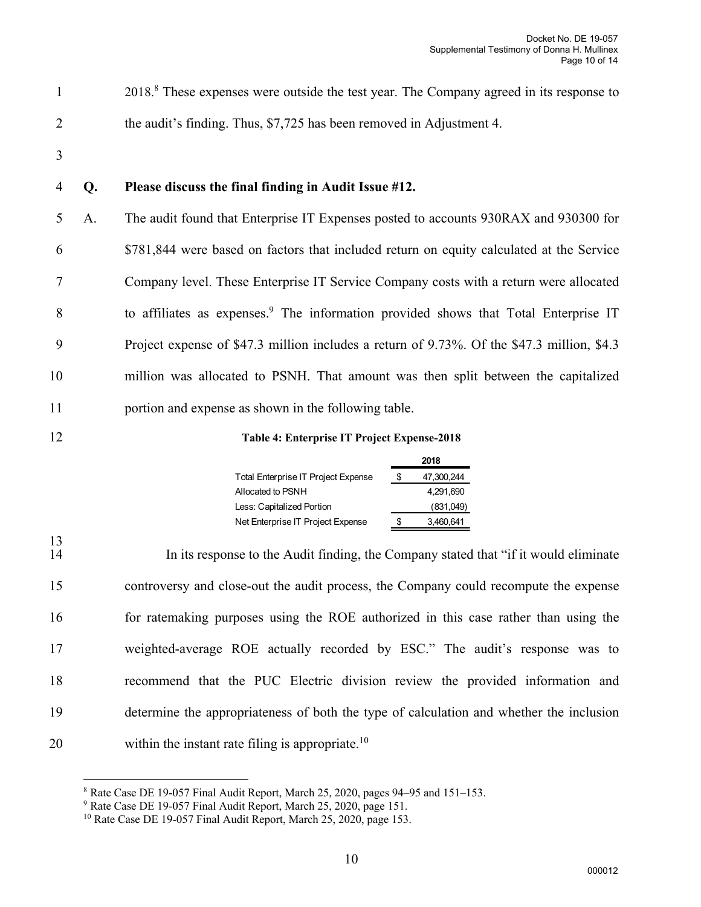2018<sup>8</sup>. These expenses were outside the test year. The Company agreed in its response to 2 the audit's finding. Thus, \$7,725 has been removed in Adjustment 4.

3

#### 4 **Q. Please discuss the final finding in Audit Issue #12.**

 A. The audit found that Enterprise IT Expenses posted to accounts 930RAX and 930300 for \$781,844 were based on factors that included return on equity calculated at the Service Company level. These Enterprise IT Service Company costs with a return were allocated 8 to affiliates as expenses.<sup>9</sup> The information provided shows that Total Enterprise IT Project expense of \$47.3 million includes a return of 9.73%. Of the \$47.3 million, \$4.3 million was allocated to PSNH. That amount was then split between the capitalized portion and expense as shown in the following table.

#### 12 **Table 4: Enterprise IT Project Expense-2018**

|                                            | 2018 |            |  |  |
|--------------------------------------------|------|------------|--|--|
| <b>Total Enterprise IT Project Expense</b> | S    | 47,300,244 |  |  |
| Allocated to PSNH                          |      | 4.291.690  |  |  |
| Less: Capitalized Portion                  |      | (831,049)  |  |  |
| Net Enterprise IT Project Expense          | S    | 3,460,641  |  |  |

 $\frac{13}{14}$ In its response to the Audit finding, the Company stated that "if it would eliminate" controversy and close-out the audit process, the Company could recompute the expense for ratemaking purposes using the ROE authorized in this case rather than using the weighted-average ROE actually recorded by ESC." The audit's response was to recommend that the PUC Electric division review the provided information and determine the appropriateness of both the type of calculation and whether the inclusion 20 within the instant rate filing is appropriate.<sup>10</sup>

<sup>8</sup> Rate Case DE 19-057 Final Audit Report, March 25, 2020, pages 94–95 and 151–153.

<sup>9</sup> Rate Case DE 19-057 Final Audit Report, March 25, 2020, page 151.

<sup>&</sup>lt;sup>10</sup> Rate Case DE 19-057 Final Audit Report, March 25, 2020, page 153.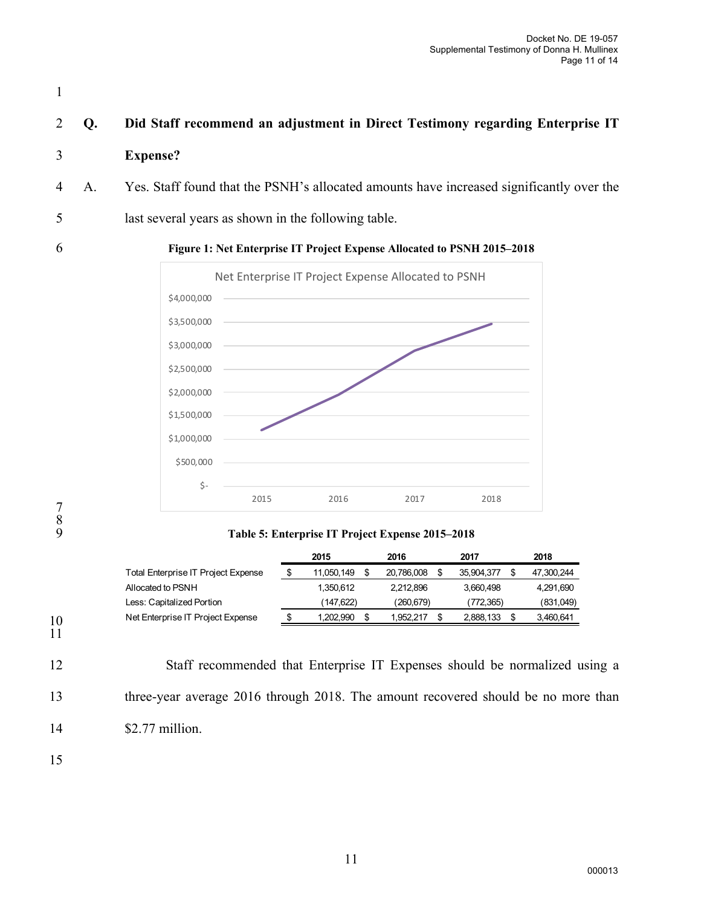# 2 **Q. Did Staff recommend an adjustment in Direct Testimony regarding Enterprise IT**

#### 3 **Expense?**

- 4 A. Yes. Staff found that the PSNH's allocated amounts have increased significantly over the
- 5 last several years as shown in the following table.

1

#### 6 **Figure 1: Net Enterprise IT Project Expense Allocated to PSNH 2015–2018**



7 8

#### 9 **Table 5: Enterprise IT Project Expense 2015–2018**

|                                            | 2015       | 2016       | 2017       | 2018       |
|--------------------------------------------|------------|------------|------------|------------|
| <b>Total Enterprise IT Project Expense</b> | 11,050,149 | 20.786.008 | 35.904.377 | 47,300,244 |
| Allocated to PSNH                          | 1.350.612  | 2.212.896  | 3.660.498  | 4,291,690  |
| Less: Capitalized Portion                  | (147.622)  | (260.679)  | (772.365)  | (831,049)  |
| Net Enterprise IT Project Expense          | 1.202.990  | .952.217   | 2.888.133  | 3.460.641  |
|                                            |            |            |            |            |

10 11

12 Staff recommended that Enterprise IT Expenses should be normalized using a 13 three-year average 2016 through 2018. The amount recovered should be no more than 14 \$2.77 million.

15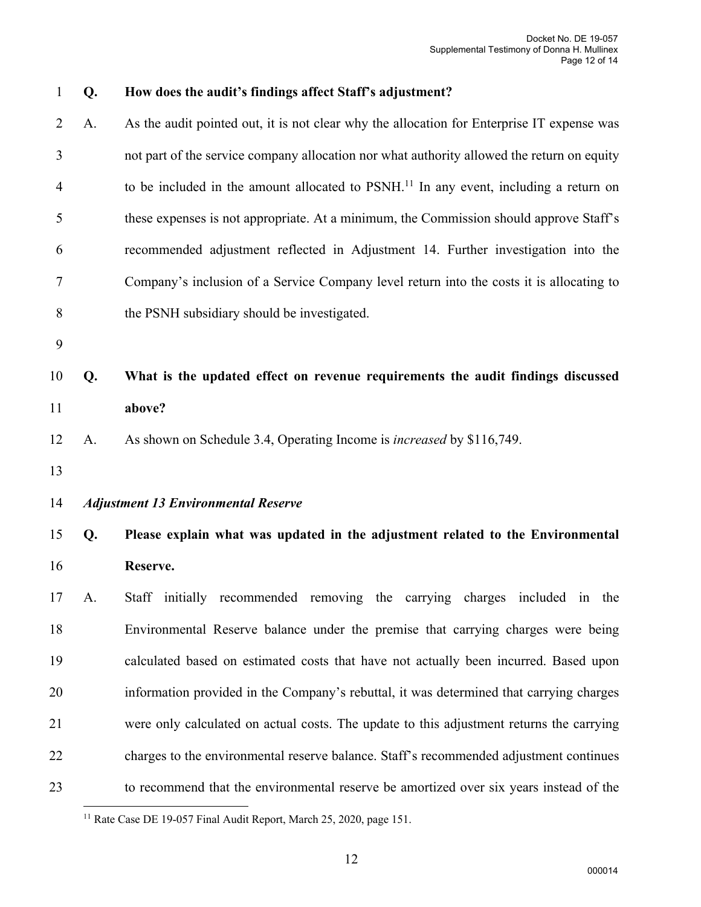**Q. How does the audit's findings affect Staff's adjustment?**  A. As the audit pointed out, it is not clear why the allocation for Enterprise IT expense was not part of the service company allocation nor what authority allowed the return on equity 4 to be included in the amount allocated to PSNH.<sup>11</sup> In any event, including a return on these expenses is not appropriate. At a minimum, the Commission should approve Staff's recommended adjustment reflected in Adjustment 14. Further investigation into the Company's inclusion of a Service Company level return into the costs it is allocating to the PSNH subsidiary should be investigated. **Q. What is the updated effect on revenue requirements the audit findings discussed above?**  A. As shown on Schedule 3.4, Operating Income is *increased* by \$116,749. *Adjustment 13 Environmental Reserve*  **Q. Please explain what was updated in the adjustment related to the Environmental Reserve.**  A. Staff initially recommended removing the carrying charges included in the Environmental Reserve balance under the premise that carrying charges were being calculated based on estimated costs that have not actually been incurred. Based upon information provided in the Company's rebuttal, it was determined that carrying charges were only calculated on actual costs. The update to this adjustment returns the carrying charges to the environmental reserve balance. Staff's recommended adjustment continues to recommend that the environmental reserve be amortized over six years instead of the

<sup>&</sup>lt;sup>11</sup> Rate Case DE 19-057 Final Audit Report, March 25, 2020, page 151.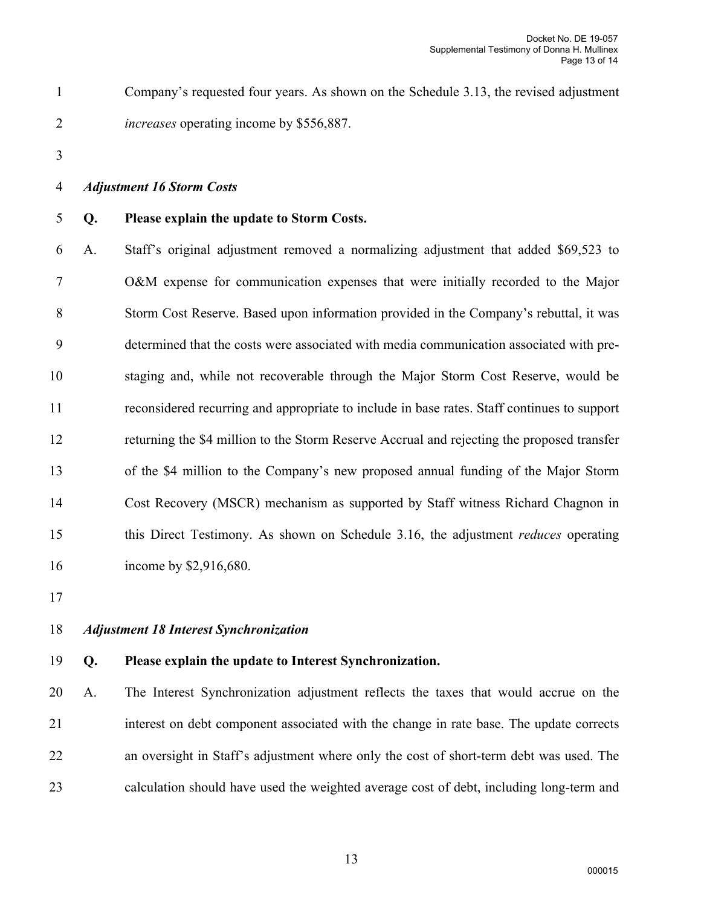- Company's requested four years. As shown on the Schedule 3.13, the revised adjustment *increases* operating income by \$556,887.
- 

#### *Adjustment 16 Storm Costs*

#### **Q. Please explain the update to Storm Costs.**

 A. Staff's original adjustment removed a normalizing adjustment that added \$69,523 to O&M expense for communication expenses that were initially recorded to the Major Storm Cost Reserve. Based upon information provided in the Company's rebuttal, it was determined that the costs were associated with media communication associated with pre- staging and, while not recoverable through the Major Storm Cost Reserve, would be reconsidered recurring and appropriate to include in base rates. Staff continues to support returning the \$4 million to the Storm Reserve Accrual and rejecting the proposed transfer of the \$4 million to the Company's new proposed annual funding of the Major Storm Cost Recovery (MSCR) mechanism as supported by Staff witness Richard Chagnon in this Direct Testimony. As shown on Schedule 3.16, the adjustment *reduces* operating 16 income by \$2,916,680.

# *Adjustment 18 Interest Synchronization*

# **Q. Please explain the update to Interest Synchronization.**

 A. The Interest Synchronization adjustment reflects the taxes that would accrue on the interest on debt component associated with the change in rate base. The update corrects an oversight in Staff's adjustment where only the cost of short-term debt was used. The calculation should have used the weighted average cost of debt, including long-term and